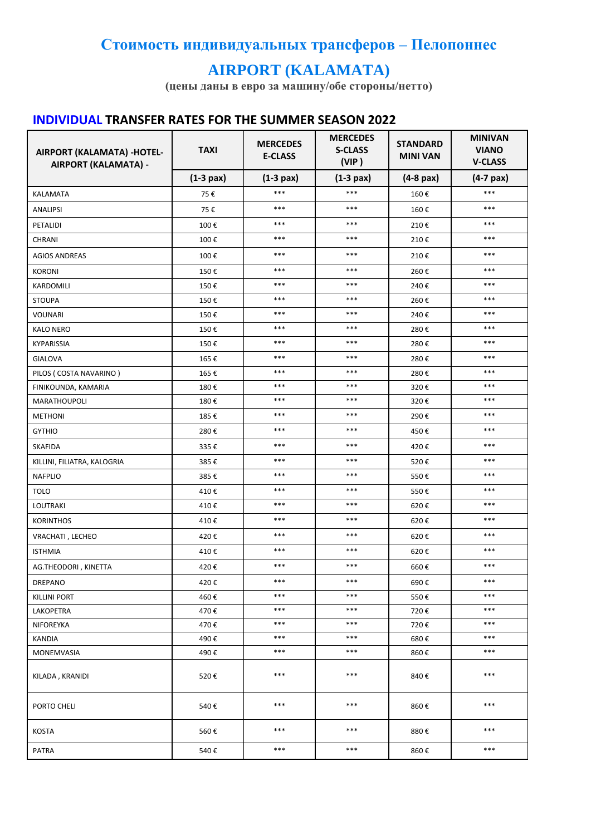## Стоимость индивидуальных трансферов - Пелопоннес

## **AIRPORT (KALAMATA)**

(цены даны в евро за машину/обе стороны/нетто)

## **INDIVIDUAL TRANSFER RATES FOR THE SUMMER SEASON 2022**

| AIRPORT (KALAMATA) -HOTEL-<br>AIRPORT (KALAMATA) - | <b>TAXI</b> | <b>MERCEDES</b><br><b>E-CLASS</b> | <b>MERCEDES</b><br><b>S-CLASS</b><br>(VIP) | <b>STANDARD</b><br><b>MINI VAN</b> | <b>MINIVAN</b><br><b>VIANO</b><br><b>V-CLASS</b> |
|----------------------------------------------------|-------------|-----------------------------------|--------------------------------------------|------------------------------------|--------------------------------------------------|
|                                                    | $(1-3$ pax) | $(1-3$ pax)                       | $(1-3$ pax)                                | $(4-8$ pax)                        | $(4-7)$ pax)                                     |
| KALAMATA                                           | 75€         | $***$                             | ***                                        | 160€                               | $***$                                            |
| <b>ANALIPSI</b>                                    | 75€         | $***$                             | $***$                                      | 160€                               | $***$                                            |
| PETALIDI                                           | 100€        | $***$                             | $***$                                      | 210€                               | $***$                                            |
| CHRANI                                             | 100€        | $***$                             | $***$                                      | 210€                               | $***$                                            |
| <b>AGIOS ANDREAS</b>                               | 100€        | $***$                             | $***$                                      | 210€                               | $***$                                            |
| <b>KORONI</b>                                      | 150€        | $***$                             | ***                                        | 260€                               | $***$                                            |
| KARDOMILI                                          | 150€        | $***$                             | ***                                        | 240€                               | $***$                                            |
| <b>STOUPA</b>                                      | 150€        | $***$                             | ***                                        | 260€                               | ***                                              |
| <b>VOUNARI</b>                                     | 150€        | $***$                             | ***                                        | 240€                               | $***$                                            |
| <b>KALO NERO</b>                                   | 150€        | $***$                             | ***                                        | 280€                               | $***$                                            |
| <b>KYPARISSIA</b>                                  | 150€        | $***$                             | ***                                        | 280€                               | $***$                                            |
| <b>GIALOVA</b>                                     | 165€        | $***$                             | $***$                                      | 280€                               | $***$                                            |
| PILOS (COSTA NAVARINO)                             | 165€        | $***$                             | $***$                                      | 280€                               | $***$                                            |
| FINIKOUNDA, KAMARIA                                | 180€        | $***$                             | $***$                                      | 320€                               | $***$                                            |
| MARATHOUPOLI                                       | 180€        | $***$                             | ***                                        | 320€                               | ***                                              |
| <b>METHONI</b>                                     | 185€        | $***$                             | ***                                        | 290€                               | $***$                                            |
| <b>GYTHIO</b>                                      | 280€        | $***$                             | ***                                        | 450€                               | ***                                              |
| <b>SKAFIDA</b>                                     | 335€        | $***$                             | $***$                                      | 420€                               | $***$                                            |
| KILLINI, FILIATRA, KALOGRIA                        | 385€        | $***$                             | ***                                        | 520€                               | $***$                                            |
| <b>NAFPLIO</b>                                     | 385€        | $***$                             | $***$                                      | 550€                               | $***$                                            |
| <b>TOLO</b>                                        | 410€        | $***$                             | ***                                        | 550€                               | $***$                                            |
| <b>LOUTRAKI</b>                                    | 410€        | $***$                             | ***                                        | 620€                               | $***$                                            |
| <b>KORINTHOS</b>                                   | 410€        | $***$                             | ***                                        | 620€                               | $***$                                            |
| VRACHATI, LECHEO                                   | 420€        | $***$                             | ***                                        | 620€                               | $***$                                            |
| <b>ISTHMIA</b>                                     | 410€        | $***$                             | ***                                        | 620€                               | $***$                                            |
| AG.THEODORI, KINETTA                               | 420€        | $***$                             | $***$                                      | 660€                               | $***$                                            |
| <b>DREPANO</b>                                     | 420€        | $***$                             | ***                                        | 690€                               | $***$                                            |
| <b>KILLINI PORT</b>                                | 460€        | $***$                             | $***$                                      | 550€                               | ***                                              |
| LAKOPETRA                                          | 470€        | $***$                             | $***$                                      | 720€                               | ***                                              |
| NIFOREYKA                                          | 470€        | $***$                             | $***$                                      | 720€                               | ***                                              |
| <b>KANDIA</b>                                      | 490€        | $***$                             | $***$                                      | 680€                               | $***$                                            |
| MONEMVASIA                                         | 490€        | $***$                             | ***                                        | 860€                               | ***                                              |
| KILADA, KRANIDI                                    | 520€        | $***$                             | ***                                        | 840€                               | ***                                              |
| PORTO CHELI                                        | 540€        | $***$                             | ***                                        | 860€                               | ***                                              |
| KOSTA                                              | 560€        | $***$                             | ***                                        | 880€                               | $***$                                            |
| PATRA                                              | 540€        | $***$                             | $***$                                      | 860€                               | $***$                                            |